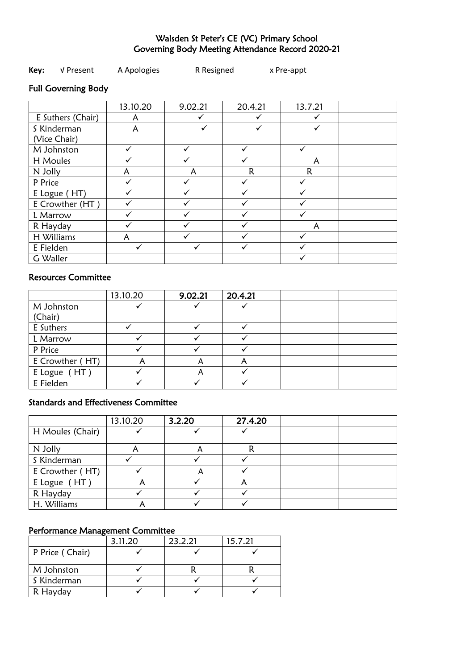# Walsden St Peter's CE (VC) Primary School Governing Body Meeting Attendance Record 2020-21

### **Key:** √ Present A Apologies R Resigned x Pre-appt

# Full Governing Body

|                   | 13.10.20 | 9.02.21 | 20.4.21 | 13.7.21 |  |
|-------------------|----------|---------|---------|---------|--|
| E Suthers (Chair) | А        |         |         |         |  |
| S Kinderman       | A        |         |         |         |  |
| (Vice Chair)      |          |         |         |         |  |
| M Johnston        |          |         |         |         |  |
| H Moules          |          |         |         | A       |  |
| N Jolly           |          |         | R       | R       |  |
| P Price           |          |         |         |         |  |
| E Logue (HT)      |          |         |         |         |  |
| E Crowther (HT)   |          |         |         |         |  |
| L Marrow          |          |         |         |         |  |
| R Hayday          |          |         |         | A       |  |
| H Williams        |          |         |         |         |  |
| E Fielden         |          |         |         |         |  |
| G Waller          |          |         |         |         |  |

# Resources Committee

|                 | 13.10.20 | 9.02.21 | 20.4.21 |  |
|-----------------|----------|---------|---------|--|
| M Johnston      |          |         |         |  |
| (Chair)         |          |         |         |  |
| E Suthers       |          |         |         |  |
| L Marrow        |          |         |         |  |
| P Price         |          |         |         |  |
| E Crowther (HT) |          | A       |         |  |
| E Logue (HT)    |          | A       |         |  |
| E Fielden       |          |         |         |  |

## Standards and Effectiveness Committee

|                  | 13.10.20 | 3.2.20 | 27.4.20 |  |
|------------------|----------|--------|---------|--|
| H Moules (Chair) |          |        |         |  |
| N Jolly          |          | A      |         |  |
| S Kinderman      |          |        |         |  |
| E Crowther (HT)  |          |        |         |  |
| E Logue (HT)     | r        |        |         |  |
| R Hayday         |          |        |         |  |
| H. Williams      |          |        |         |  |

#### Performance Management Committee

|                 | 3.11.20 | 23.2.21 | 15.7.21 |
|-----------------|---------|---------|---------|
| P Price (Chair) |         |         |         |
| M Johnston      |         |         |         |
| S Kinderman     |         |         |         |
| R Hayday        |         |         |         |